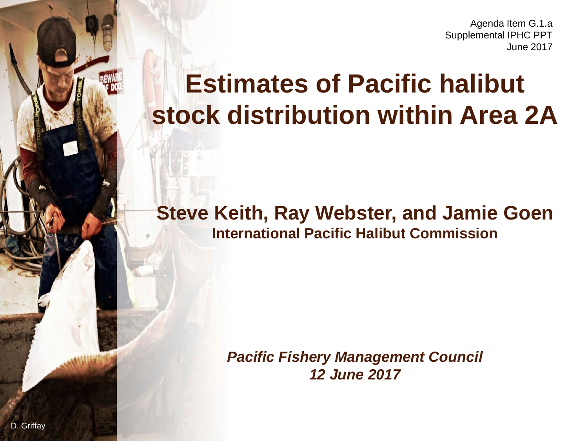Agenda Item G.1.a Supplemental IPHC PPT June 2017

## **Estimates of Pacific halibut stock distribution within Area 2A**

#### **Steve Keith, Ray Webster, and Jamie Goen International Pacific Halibut Commission**

*Pacific Fishery Management Council 12 June 2017*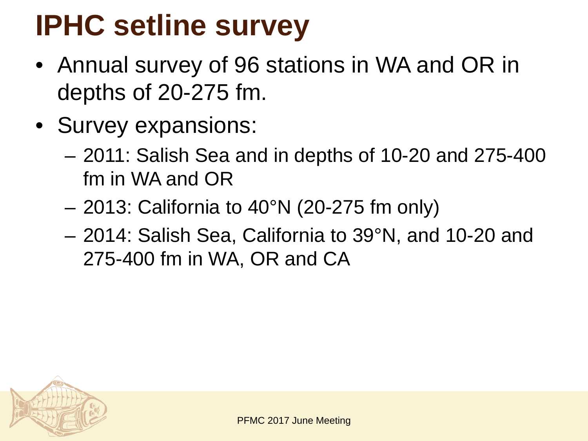# **IPHC setline survey**

- Annual survey of 96 stations in WA and OR in depths of 20-275 fm.
- Survey expansions:
	- 2011: Salish Sea and in depths of 10-20 and 275-400 fm in WA and OR
	- 2013: California to 40°N (20-275 fm only)
	- 2014: Salish Sea, California to 39°N, and 10-20 and 275-400 fm in WA, OR and CA

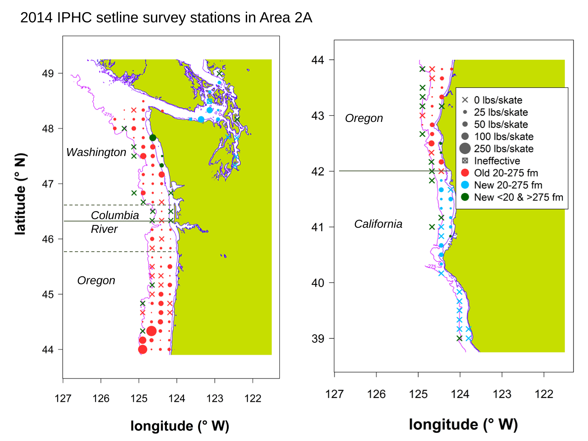#### 2014 IPHC setline survey stations in Area 2A





longitude (° W)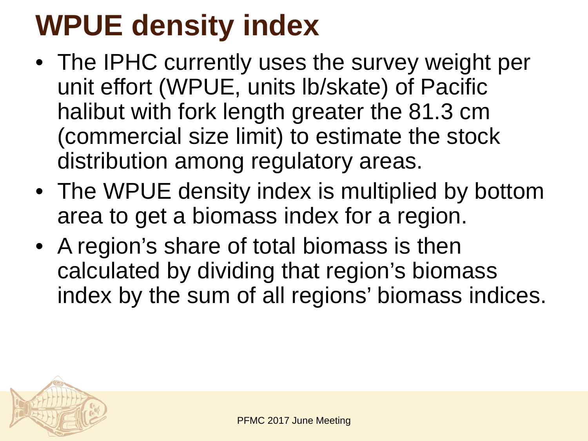# **WPUE density index**

- The IPHC currently uses the survey weight per unit effort (WPUE, units lb/skate) of Pacific halibut with fork length greater the 81.3 cm (commercial size limit) to estimate the stock distribution among regulatory areas.
- The WPUE density index is multiplied by bottom area to get a biomass index for a region.
- A region's share of total biomass is then calculated by dividing that region's biomass index by the sum of all regions' biomass indices.

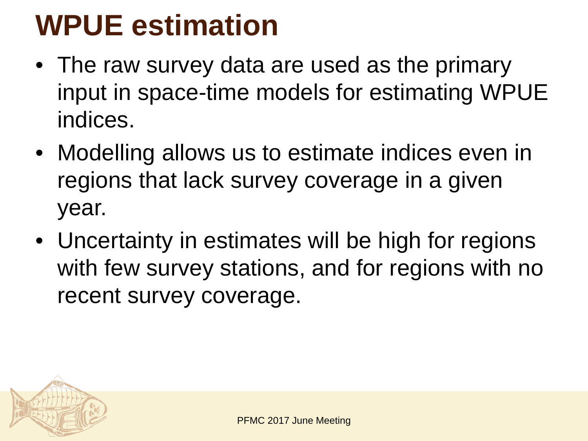# **WPUE estimation**

- The raw survey data are used as the primary input in space-time models for estimating WPUE indices.
- Modelling allows us to estimate indices even in regions that lack survey coverage in a given year.
- Uncertainty in estimates will be high for regions with few survey stations, and for regions with no recent survey coverage.

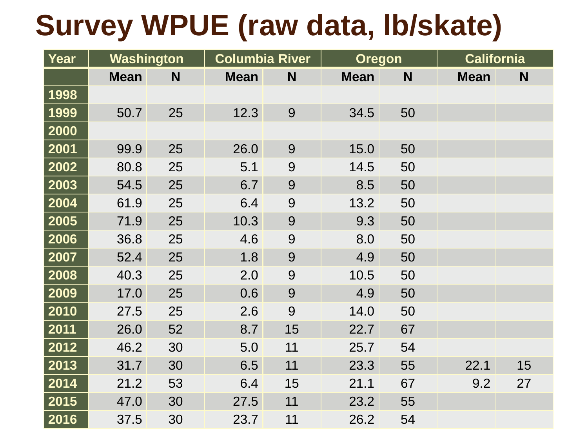# **Survey WPUE (raw data, lb/skate)**

| Year | <b>Washington</b> |    | <b>Columbia River</b> |    | <b>Oregon</b> |    | <b>California</b> |    |
|------|-------------------|----|-----------------------|----|---------------|----|-------------------|----|
|      | <b>Mean</b>       | N  | <b>Mean</b>           | N  | <b>Mean</b>   | N  | <b>Mean</b>       | N  |
| 1998 |                   |    |                       |    |               |    |                   |    |
| 1999 | 50.7              | 25 | 12.3                  | 9  | 34.5          | 50 |                   |    |
| 2000 |                   |    |                       |    |               |    |                   |    |
| 2001 | 99.9              | 25 | 26.0                  | 9  | 15.0          | 50 |                   |    |
| 2002 | 80.8              | 25 | 5.1                   | 9  | 14.5          | 50 |                   |    |
| 2003 | 54.5              | 25 | 6.7                   | 9  | 8.5           | 50 |                   |    |
| 2004 | 61.9              | 25 | 6.4                   | 9  | 13.2          | 50 |                   |    |
| 2005 | 71.9              | 25 | 10.3                  | 9  | 9.3           | 50 |                   |    |
| 2006 | 36.8              | 25 | 4.6                   | 9  | 8.0           | 50 |                   |    |
| 2007 | 52.4              | 25 | 1.8                   | 9  | 4.9           | 50 |                   |    |
| 2008 | 40.3              | 25 | 2.0                   | 9  | 10.5          | 50 |                   |    |
| 2009 | 17.0              | 25 | 0.6                   | 9  | 4.9           | 50 |                   |    |
| 2010 | 27.5              | 25 | 2.6                   | 9  | 14.0          | 50 |                   |    |
| 2011 | 26.0              | 52 | 8.7                   | 15 | 22.7          | 67 |                   |    |
| 2012 | 46.2              | 30 | 5.0                   | 11 | 25.7          | 54 |                   |    |
| 2013 | 31.7              | 30 | 6.5                   | 11 | 23.3          | 55 | 22.1              | 15 |
| 2014 | 21.2              | 53 | 6.4                   | 15 | 21.1          | 67 | 9.2               | 27 |
| 2015 | 47.0              | 30 | 27.5                  | 11 | 23.2          | 55 |                   |    |
| 2016 | 37.5              | 30 | 23.7                  | 11 | 26.2          | 54 |                   |    |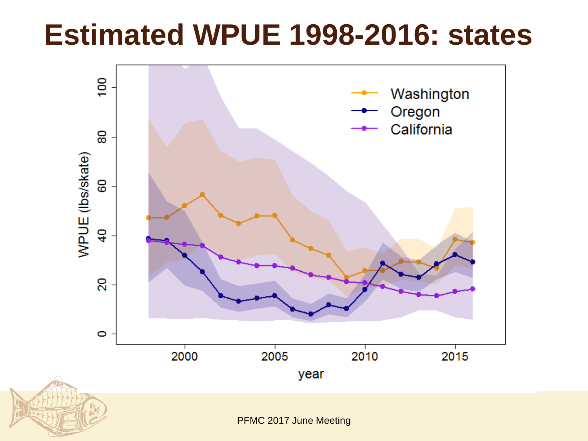## **Estimated WPUE 1998-2016: states**

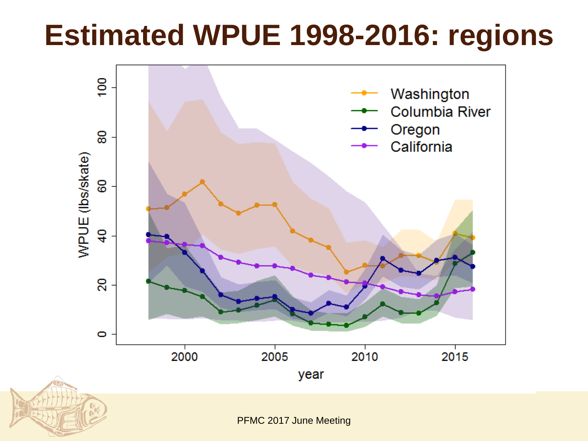## **Estimated WPUE 1998-2016: regions**

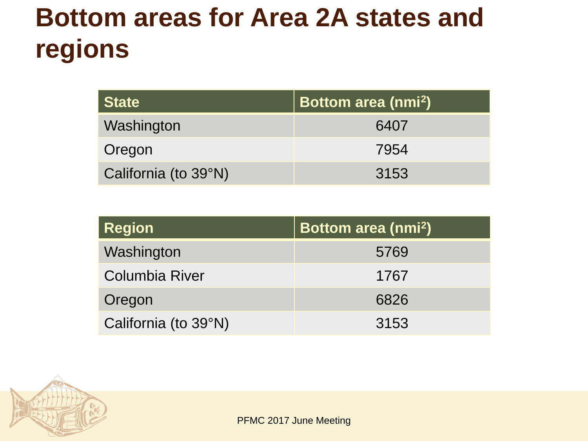### **Bottom areas for Area 2A states and regions**

| <b>State</b>         | Bottom area (nmi <sup>2</sup> ) |
|----------------------|---------------------------------|
| Washington           | 6407                            |
| Oregon               | 7954                            |
| California (to 39°N) | 3153                            |

| <b>Region</b>         | Bottom area (nmi <sup>2</sup> ) |
|-----------------------|---------------------------------|
| Washington            | 5769                            |
| <b>Columbia River</b> | 1767                            |
| Oregon                | 6826                            |
| California (to 39°N)  | 3153                            |

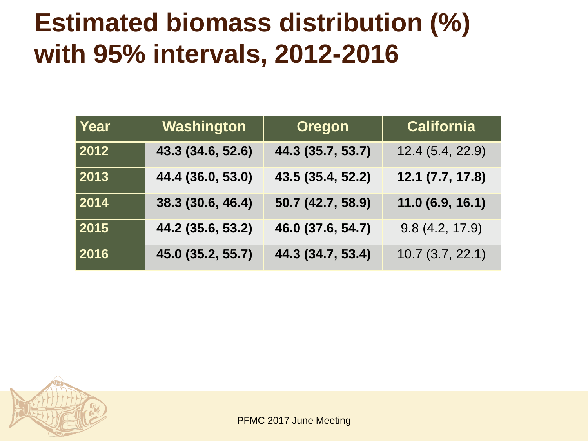### **Estimated biomass distribution (%) with 95% intervals, 2012-2016**

| Year | Washington        | <b>Oregon</b>     | <b>California</b> |
|------|-------------------|-------------------|-------------------|
| 2012 | 43.3 (34.6, 52.6) | 44.3 (35.7, 53.7) | 12.4(5.4, 22.9)   |
| 2013 | 44.4 (36.0, 53.0) | 43.5 (35.4, 52.2) | 12.1 (7.7, 17.8)  |
| 2014 | 38.3 (30.6, 46.4) | 50.7 (42.7, 58.9) | 11.0(6.9, 16.1)   |
| 2015 | 44.2 (35.6, 53.2) | 46.0 (37.6, 54.7) | 9.8(4.2, 17.9)    |
| 2016 | 45.0 (35.2, 55.7) | 44.3 (34.7, 53.4) | 10.7(3.7, 22.1)   |

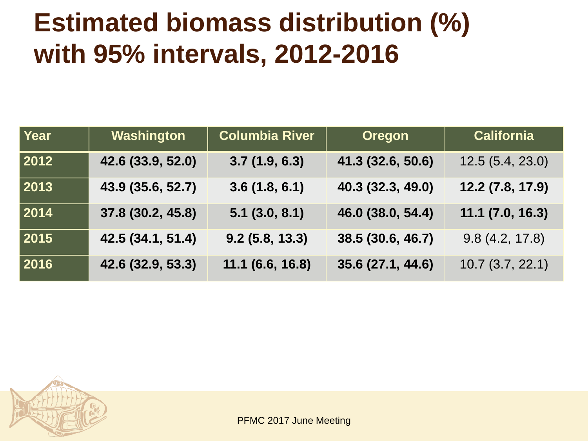### **Estimated biomass distribution (%) with 95% intervals, 2012-2016**

| Year | Washington        | <b>Columbia River</b> | <b>Oregon</b>     | <b>California</b> |
|------|-------------------|-----------------------|-------------------|-------------------|
| 2012 | 42.6 (33.9, 52.0) | 3.7(1.9, 6.3)         | 41.3 (32.6, 50.6) | 12.5(5.4, 23.0)   |
| 2013 | 43.9 (35.6, 52.7) | 3.6(1.8, 6.1)         | 40.3 (32.3, 49.0) | 12.2 (7.8, 17.9)  |
| 2014 | 37.8 (30.2, 45.8) | 5.1(3.0, 8.1)         | 46.0 (38.0, 54.4) | 11.1 (7.0, 16.3)  |
| 2015 | 42.5 (34.1, 51.4) | 9.2(5.8, 13.3)        | 38.5 (30.6, 46.7) | 9.8(4.2, 17.8)    |
| 2016 | 42.6 (32.9, 53.3) | $11.1$ (6.6, 16.8)    | 35.6 (27.1, 44.6) | 10.7(3.7, 22.1)   |

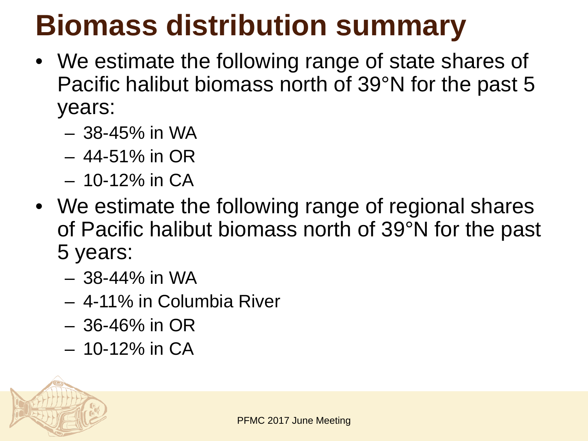# **Biomass distribution summary**

- We estimate the following range of state shares of Pacific halibut biomass north of 39°N for the past 5 years:
	- 38-45% in WA
	- 44-51% in OR
	- 10-12% in CA
- We estimate the following range of regional shares of Pacific halibut biomass north of 39°N for the past 5 years:
	- 38-44% in WA
	- 4-11% in Columbia River
	- 36-46% in OR
	- 10-12% in CA

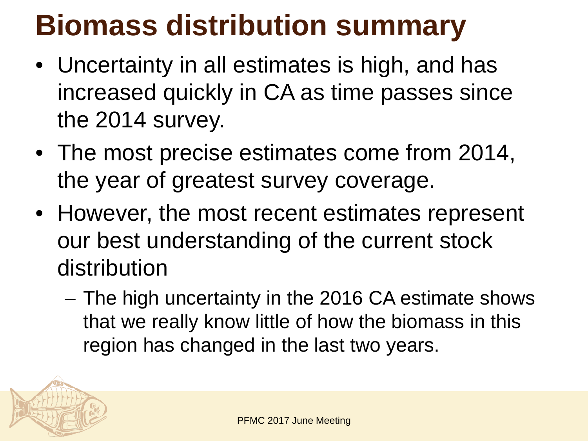# **Biomass distribution summary**

- Uncertainty in all estimates is high, and has increased quickly in CA as time passes since the 2014 survey.
- The most precise estimates come from 2014, the year of greatest survey coverage.
- However, the most recent estimates represent our best understanding of the current stock distribution
	- The high uncertainty in the 2016 CA estimate shows that we really know little of how the biomass in this region has changed in the last two years.

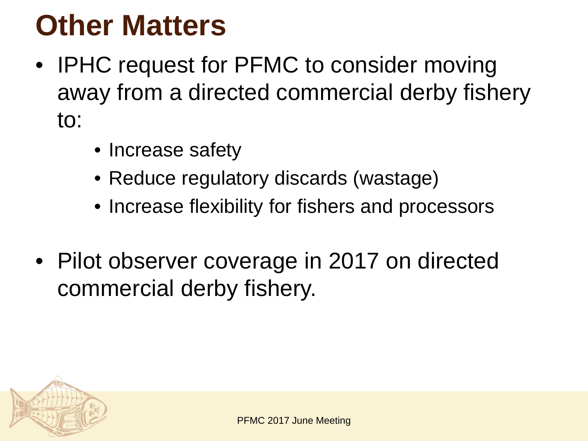## **Other Matters**

- IPHC request for PFMC to consider moving away from a directed commercial derby fishery to:
	- Increase safety
	- Reduce regulatory discards (wastage)
	- Increase flexibility for fishers and processors
- Pilot observer coverage in 2017 on directed commercial derby fishery.